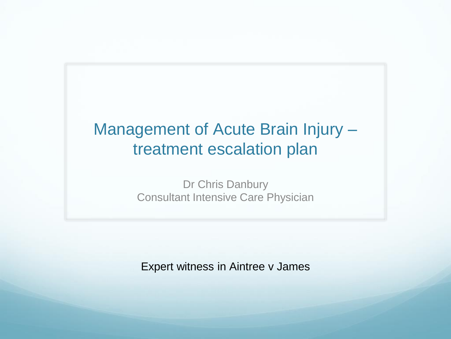#### Management of Acute Brain Injury – treatment escalation plan

Dr Chris Danbury Consultant Intensive Care Physician

Expert witness in Aintree v James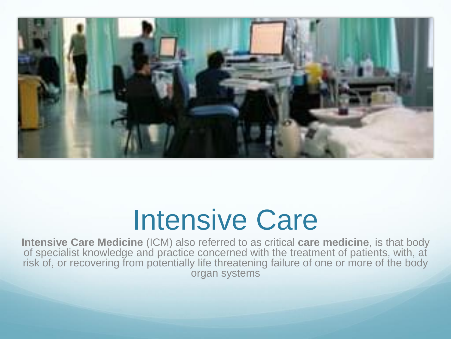

### Intensive Care

**Intensive Care Medicine** (ICM) also referred to as critical **care medicine**, is that body of specialist knowledge and practice concerned with the treatment of patients, with, at risk of, or recovering from potentially life threatening failure of one or more of the body organ systems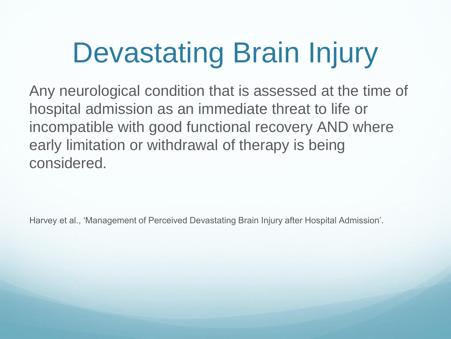# Devastating Brain Injury

Any neurological condition that is assessed at the time of hospital admission as an immediate threat to life or incompatible with good functional recovery AND where early limitation or withdrawal of therapy is being considered.

Harvey et al., 'Management of Perceived Devastating Brain Injury after Hospital Admission'.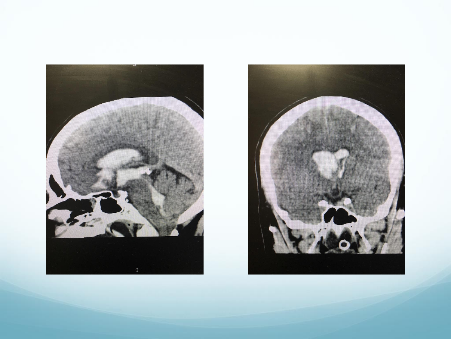

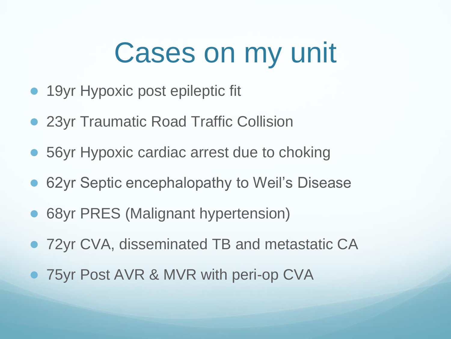## Cases on my unit

- 19yr Hypoxic post epileptic fit
- 23yr Traumatic Road Traffic Collision
- 56yr Hypoxic cardiac arrest due to choking
- 62yr Septic encephalopathy to Weil's Disease
- 68yr PRES (Malignant hypertension)
- 72yr CVA, disseminated TB and metastatic CA
- 75yr Post AVR & MVR with peri-op CVA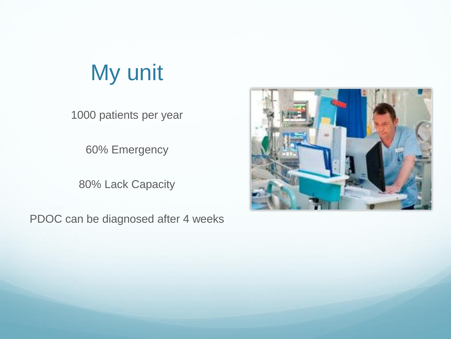#### My unit

1000 patients per year

60% Emergency

80% Lack Capacity

PDOC can be diagnosed after 4 weeks

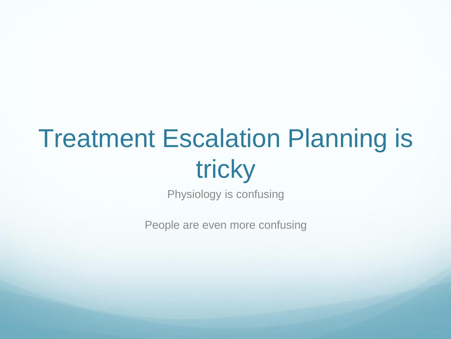#### Treatment Escalation Planning is tricky

Physiology is confusing

People are even more confusing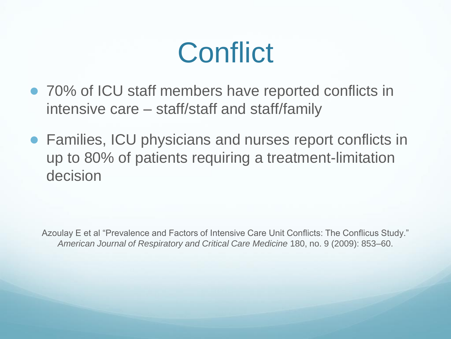

- 70% of ICU staff members have reported conflicts in intensive care – staff/staff and staff/family
- Families, ICU physicians and nurses report conflicts in up to 80% of patients requiring a treatment-limitation decision

Azoulay E et al "Prevalence and Factors of Intensive Care Unit Conflicts: The Conflicus Study." *American Journal of Respiratory and Critical Care Medicine* 180, no. 9 (2009): 853–60.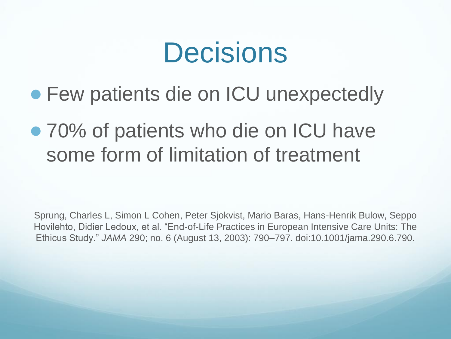## Decisions

- Few patients die on ICU unexpectedly
- 70% of patients who die on ICU have some form of limitation of treatment

Sprung, Charles L, Simon L Cohen, Peter Sjokvist, Mario Baras, Hans-Henrik Bulow, Seppo Hovilehto, Didier Ledoux, et al. "End-of-Life Practices in European Intensive Care Units: The Ethicus Study." *JAMA* 290; no. 6 (August 13, 2003): 790–797. doi:10.1001/jama.290.6.790.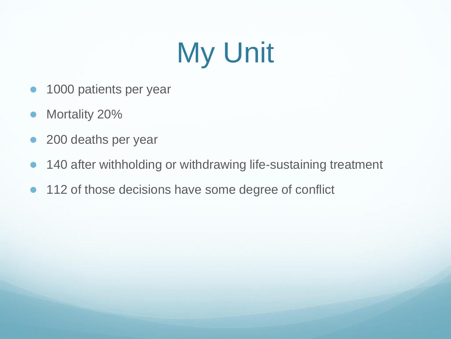# My Unit

- 1000 patients per year
- Mortality 20%
- 200 deaths per year
- 140 after withholding or withdrawing life-sustaining treatment
- 112 of those decisions have some degree of conflict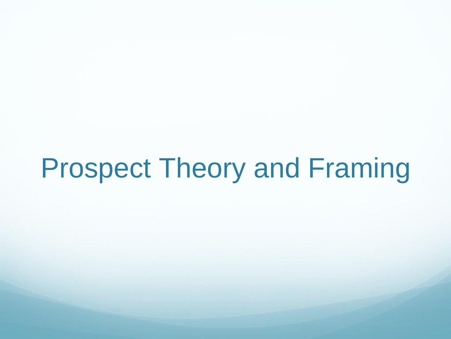## Prospect Theory and Framing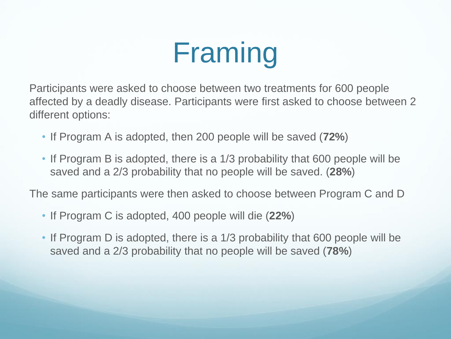

Participants were asked to choose between two treatments for 600 people affected by a deadly disease. Participants were first asked to choose between 2 different options:

- If Program A is adopted, then 200 people will be saved (**72%**)
- If Program B is adopted, there is a 1/3 probability that 600 people will be saved and a 2/3 probability that no people will be saved. (**28%**)

The same participants were then asked to choose between Program C and D

- If Program C is adopted, 400 people will die (**22%**)
- If Program D is adopted, there is a 1/3 probability that 600 people will be saved and a 2/3 probability that no people will be saved (**78%**)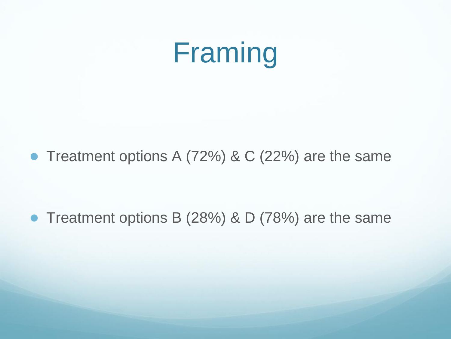

● Treatment options A (72%) & C (22%) are the same

● Treatment options B (28%) & D (78%) are the same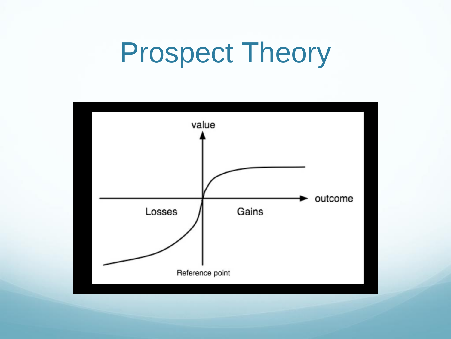## Prospect Theory

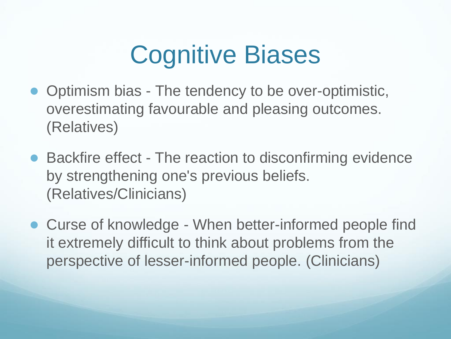### Cognitive Biases

- Optimism bias The tendency to be over-optimistic, overestimating favourable and pleasing outcomes. (Relatives)
- Backfire effect The reaction to disconfirming evidence by strengthening one's previous beliefs. (Relatives/Clinicians)
- Curse of knowledge When better-informed people find it extremely difficult to think about problems from the perspective of lesser-informed people. (Clinicians)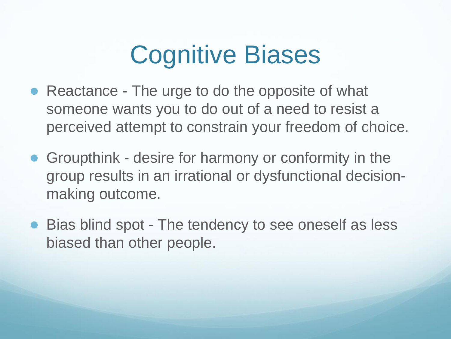#### Cognitive Biases

- Reactance The urge to do the opposite of what someone wants you to do out of a need to resist a perceived attempt to constrain your freedom of choice.
- Groupthink desire for harmony or conformity in the group results in an irrational or dysfunctional decisionmaking outcome.
- Bias blind spot The tendency to see oneself as less biased than other people.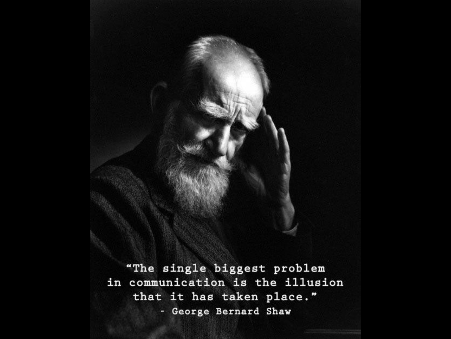"The single biggest problem in communication is the illusion that it has taken place." - George Bernard Shaw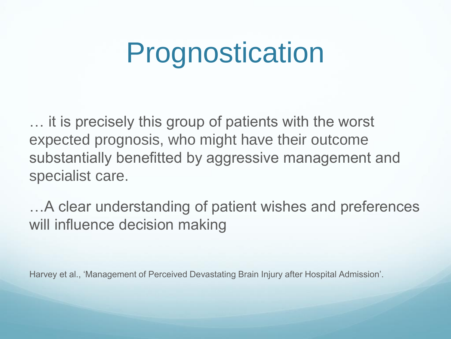## Prognostication

… it is precisely this group of patients with the worst expected prognosis, who might have their outcome substantially benefitted by aggressive management and specialist care.

…A clear understanding of patient wishes and preferences will influence decision making

Harvey et al., 'Management of Perceived Devastating Brain Injury after Hospital Admission'.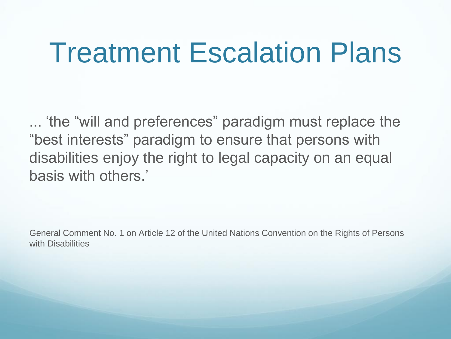## Treatment Escalation Plans

... 'the "will and preferences" paradigm must replace the "best interests" paradigm to ensure that persons with disabilities enjoy the right to legal capacity on an equal basis with others.'

General Comment No. 1 on Article 12 of the United Nations Convention on the Rights of Persons with Disabilities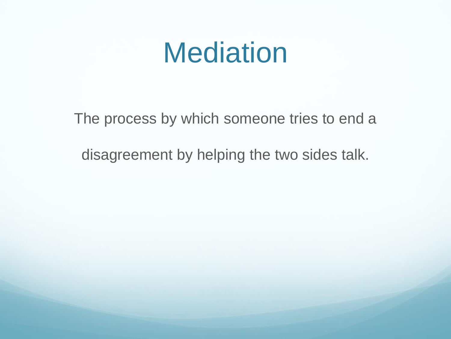### **Mediation**

The process by which someone tries to end a

disagreement by helping the two sides talk.